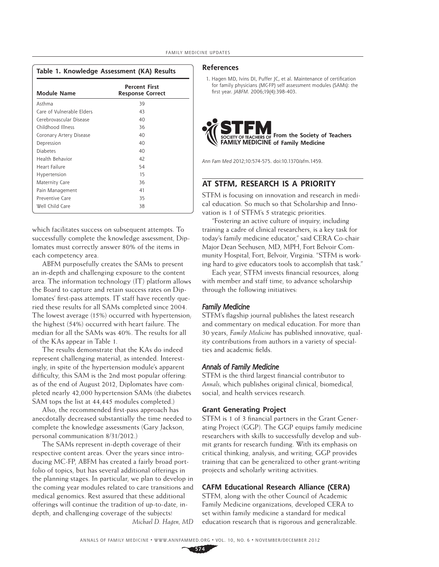| <b>Module Name</b>        | <b>Percent First</b><br><b>Response Correct</b> |
|---------------------------|-------------------------------------------------|
| Asthma                    | 39                                              |
| Care of Vulnerable Elders | 43                                              |
| Cerebrovascular Disease   | 40                                              |
| Childhood Illness         | 36                                              |
| Coronary Artery Disease   | 40                                              |
| Depression                | 40                                              |
| <b>Diabetes</b>           | 40                                              |
| Health Behavior           | 42                                              |
| Heart Failure             | 54                                              |
| Hypertension              | 15                                              |
| Maternity Care            | 36                                              |
| Pain Management           | 41                                              |
| Preventive Care           | 35                                              |
| Well Child Care           | 38                                              |

**Table 1. Knowledge Assessment (KA) Results**

which facilitates success on subsequent attempts. To successfully complete the knowledge assessment, Diplomates must correctly answer 80% of the items in each competency area.

ABFM purposefully creates the SAMs to present an in-depth and challenging exposure to the content area. The information technology (IT) platform allows the Board to capture and retain success rates on Diplomates' first-pass attempts. IT staff have recently queried these results for all SAMs completed since 2004. The lowest average (15%) occurred with hypertension; the highest (54%) occurred with heart failure. The median for all the SAMs was 40%. The results for all of the KAs appear in Table 1.

The results demonstrate that the KAs do indeed represent challenging material, as intended. Interestingly, in spite of the hypertension module's apparent difficulty, this SAM is the 2nd most popular offering. as of the end of August 2012, Diplomates have completed nearly 42,000 hypertension SAMs (the diabetes SAM tops the list at 44,445 modules completed.)

Also, the recommended first-pass approach has anecdotally decreased substantially the time needed to complete the knowledge assessments (Gary Jackson, personal communication 8/31/2012.)

The SAMs represent in-depth coverage of their respective content areas. Over the years since introducing MC-FP, ABFM has created a fairly broad portfolio of topics, but has several additional offerings in the planning stages. In particular, we plan to develop in the coming year modules related to care transitions and medical genomics. Rest assured that these additional offerings will continue the tradition of up-to-date, indepth, and challenging coverage of the subjects! *Michael D. Hagen, MD*

#### **References**

1. Hagen MD, Ivins DI, Puffer JC, et al. Maintenance of certification for family physicians (MC-FP) self assessment modules (SAMs): the first year. JABFM. 2006;19(4):398-403.



Ann Fam Med 2012;10:574-575. doi:10.1370/afm.1459.

### **AT STFM, RESEARCH IS A PRIORITY**

STFM is focusing on innovation and research in medical education. So much so that Scholarship and Innovation is 1 of STFM's 5 strategic priorities.

"Fostering an active culture of inquiry, including training a cadre of clinical researchers, is a key task for today's family medicine educator," said CERA Co-chair Major Dean Seehusen, MD, MPH, Fort Belvoir Community Hospital, Fort, Belvoir, Virginia. "STFM is working hard to give educators tools to accomplish that task."

Each year, STFM invests financial resources, along with member and staff time, to advance scholarship through the following initiatives:

### *Family Medicine*

STFM's flagship journal publishes the latest research and commentary on medical education. For more than 30 years, *Family Medicine* has published innovative, quality contributions from authors in a variety of specialties and academic fields.

### *Annals of Family Medicine*

STFM is the third largest financial contributor to *Annals,* which publishes original clinical, biomedical, social, and health services research.

#### **Grant Generating Project**

STFM is 1 of 3 financial partners in the Grant Generating Project (GGP). The GGP equips family medicine researchers with skills to successfully develop and submit grants for research funding. With its emphasis on critical thinking, analysis, and writing, GGP provides training that can be generalized to other grant-writing projects and scholarly writing activities.

### **CAFM Educational Research Alliance (CERA)**

STFM, along with the other Council of Academic Family Medicine organizations, developed CERA to set within family medicine a standard for medical education research that is rigorous and generalizable.